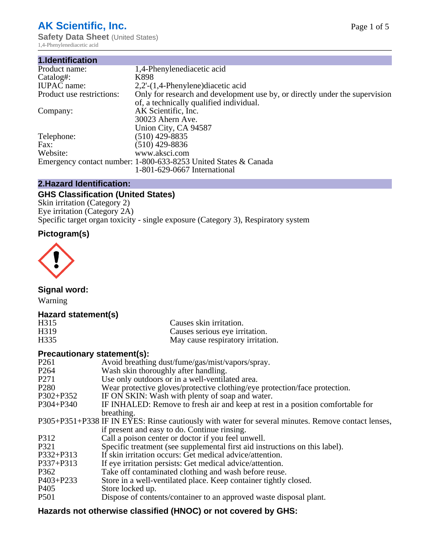# **AK Scientific, Inc.**

**Safety Data Sheet (United States)** 1,4-Phenylenediacetic acid

| 1.Identification          |                                                                                                                        |
|---------------------------|------------------------------------------------------------------------------------------------------------------------|
| Product name:             | 1,4-Phenylenediacetic acid                                                                                             |
| Catalog#:                 | K898                                                                                                                   |
| <b>IUPAC</b> name:        | $2,2'$ - $(1,4$ -Phenylene) diacetic acid                                                                              |
| Product use restrictions: | Only for research and development use by, or directly under the supervision<br>of, a technically qualified individual. |
| Company:                  | AK Scientific, Inc.                                                                                                    |
|                           | 30023 Ahern Ave.<br>Union City, CA 94587                                                                               |
| Telephone:                | $(510)$ 429-8835                                                                                                       |
| Fax:                      | (510) 429-8836                                                                                                         |
| Website:                  | www.aksci.com                                                                                                          |
|                           | Emergency contact number: 1-800-633-8253 United States & Canada                                                        |
|                           | 1-801-629-0667 International                                                                                           |

# **2.Hazard Identification:**

# **GHS Classification (United States)**

Skin irritation (Category 2) Eye irritation (Category 2A) Specific target organ toxicity - single exposure (Category 3), Respiratory system

# **Pictogram(s)**



**Signal word:**

Warning

# **Hazard statement(s)**

| H <sub>315</sub>  | Causes skin irritation.           |
|-------------------|-----------------------------------|
| H <sub>3</sub> 19 | Causes serious eye irritation.    |
| H335              | May cause respiratory irritation. |

# **Precautionary statement(s):**

| P <sub>261</sub> | Avoid breathing dust/fume/gas/mist/vapors/spray.                                                   |
|------------------|----------------------------------------------------------------------------------------------------|
| P <sub>264</sub> | Wash skin thoroughly after handling.                                                               |
| P <sub>271</sub> | Use only outdoors or in a well-ventilated area.                                                    |
| P <sub>280</sub> | Wear protective gloves/protective clothing/eye protection/face protection.                         |
| P302+P352        | IF ON SKIN: Wash with plenty of soap and water.                                                    |
| $P304 + P340$    | IF INHALED: Remove to fresh air and keep at rest in a position comfortable for                     |
|                  | breathing.                                                                                         |
|                  | P305+P351+P338 IF IN EYES: Rinse cautiously with water for several minutes. Remove contact lenses, |
|                  | if present and easy to do. Continue rinsing.                                                       |
| P312             | Call a poison center or doctor if you feel unwell.                                                 |
| P321             | Specific treatment (see supplemental first aid instructions on this label).                        |
| P332+P313        | If skin irritation occurs: Get medical advice/attention.                                           |
| P337+P313        | If eye irritation persists: Get medical advice/attention.                                          |
| P362             | Take off contaminated clothing and wash before reuse.                                              |
| $P403 + P233$    | Store in a well-ventilated place. Keep container tightly closed.                                   |
| P <sub>405</sub> | Store locked up.                                                                                   |
| P <sub>501</sub> | Dispose of contents/container to an approved waste disposal plant.                                 |
|                  |                                                                                                    |

# **Hazards not otherwise classified (HNOC) or not covered by GHS:**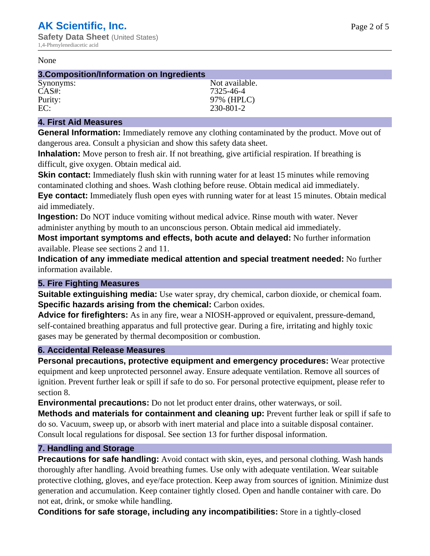### None

## **3.Composition/Information on Ingredients**

| Synonyms: | Not available. |
|-----------|----------------|
| $CAS#$ :  | 7325-46-4      |
| Purity:   | 97% (HPLC)     |
| EC:       | 230-801-2      |

## **4. First Aid Measures**

**General Information:** Immediately remove any clothing contaminated by the product. Move out of dangerous area. Consult a physician and show this safety data sheet.

**Inhalation:** Move person to fresh air. If not breathing, give artificial respiration. If breathing is difficult, give oxygen. Obtain medical aid.

**Skin contact:** Immediately flush skin with running water for at least 15 minutes while removing contaminated clothing and shoes. Wash clothing before reuse. Obtain medical aid immediately. **Eye contact:** Immediately flush open eyes with running water for at least 15 minutes. Obtain medical aid immediately.

**Ingestion:** Do NOT induce vomiting without medical advice. Rinse mouth with water. Never administer anything by mouth to an unconscious person. Obtain medical aid immediately.

**Most important symptoms and effects, both acute and delayed:** No further information available. Please see sections 2 and 11.

**Indication of any immediate medical attention and special treatment needed:** No further information available.

## **5. Fire Fighting Measures**

**Suitable extinguishing media:** Use water spray, dry chemical, carbon dioxide, or chemical foam. **Specific hazards arising from the chemical:** Carbon oxides.

**Advice for firefighters:** As in any fire, wear a NIOSH-approved or equivalent, pressure-demand, self-contained breathing apparatus and full protective gear. During a fire, irritating and highly toxic gases may be generated by thermal decomposition or combustion.

# **6. Accidental Release Measures**

**Personal precautions, protective equipment and emergency procedures:** Wear protective equipment and keep unprotected personnel away. Ensure adequate ventilation. Remove all sources of ignition. Prevent further leak or spill if safe to do so. For personal protective equipment, please refer to section 8.

**Environmental precautions:** Do not let product enter drains, other waterways, or soil.

**Methods and materials for containment and cleaning up:** Prevent further leak or spill if safe to do so. Vacuum, sweep up, or absorb with inert material and place into a suitable disposal container. Consult local regulations for disposal. See section 13 for further disposal information.

## **7. Handling and Storage**

**Precautions for safe handling:** Avoid contact with skin, eyes, and personal clothing. Wash hands thoroughly after handling. Avoid breathing fumes. Use only with adequate ventilation. Wear suitable protective clothing, gloves, and eye/face protection. Keep away from sources of ignition. Minimize dust generation and accumulation. Keep container tightly closed. Open and handle container with care. Do not eat, drink, or smoke while handling.

**Conditions for safe storage, including any incompatibilities:** Store in a tightly-closed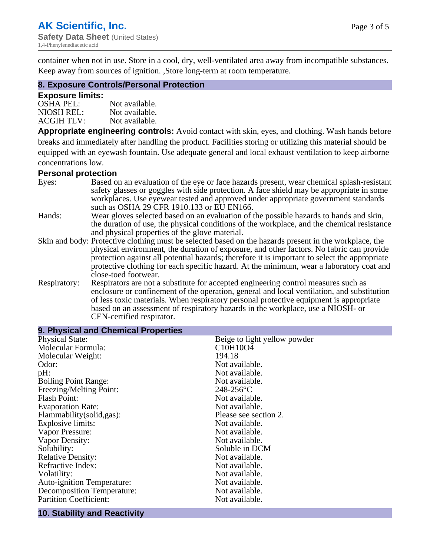container when not in use. Store in a cool, dry, well-ventilated area away from incompatible substances. Keep away from sources of ignition. ,Store long-term at room temperature.

## **8. Exposure Controls/Personal Protection**

### **Exposure limits:**

| <b>OSHA PEL:</b>  | Not available. |
|-------------------|----------------|
| NIOSH REL:        | Not available. |
| <b>ACGIH TLV:</b> | Not available. |

**Appropriate engineering controls:** Avoid contact with skin, eyes, and clothing. Wash hands before breaks and immediately after handling the product. Facilities storing or utilizing this material should be equipped with an eyewash fountain. Use adequate general and local exhaust ventilation to keep airborne concentrations low.

#### **Personal protection**

| Eyes:        | Based on an evaluation of the eye or face hazards present, wear chemical splash-resistant<br>safety glasses or goggles with side protection. A face shield may be appropriate in some |  |  |
|--------------|---------------------------------------------------------------------------------------------------------------------------------------------------------------------------------------|--|--|
|              | workplaces. Use eyewear tested and approved under appropriate government standards<br>such as OSHA 29 CFR 1910.133 or EU EN166.                                                       |  |  |
| Hands:       | Wear gloves selected based on an evaluation of the possible hazards to hands and skin,                                                                                                |  |  |
|              | the duration of use, the physical conditions of the workplace, and the chemical resistance                                                                                            |  |  |
|              | and physical properties of the glove material.                                                                                                                                        |  |  |
|              | Skin and body: Protective clothing must be selected based on the hazards present in the workplace, the                                                                                |  |  |
|              | physical environment, the duration of exposure, and other factors. No fabric can provide                                                                                              |  |  |
|              | protection against all potential hazards; therefore it is important to select the appropriate                                                                                         |  |  |
|              | protective clothing for each specific hazard. At the minimum, wear a laboratory coat and                                                                                              |  |  |
|              | close-toed footwear.                                                                                                                                                                  |  |  |
| Respiratory: | Respirators are not a substitute for accepted engineering control measures such as<br>enclosure or confinement of the operation, general and local ventilation, and substitution      |  |  |
|              | of less toxic materials. When respiratory personal protective equipment is appropriate                                                                                                |  |  |
|              | based on an assessment of respiratory hazards in the workplace, use a NIOSH- or                                                                                                       |  |  |
|              | CEN-certified respirator.                                                                                                                                                             |  |  |

| 9. Physical and Chemical Properties |                                                |
|-------------------------------------|------------------------------------------------|
| <b>Physical State:</b>              | Beige to light yellow powder                   |
| Molecular Formula:                  | C <sub>10</sub> H <sub>10</sub> O <sub>4</sub> |
| Molecular Weight:                   | 194.18                                         |
| Odor:                               | Not available.                                 |
| pH:                                 | Not available.                                 |
| <b>Boiling Point Range:</b>         | Not available.                                 |
| Freezing/Melting Point:             | $248 - 256$ °C                                 |
| <b>Flash Point:</b>                 | Not available.                                 |
| <b>Evaporation Rate:</b>            | Not available.                                 |
| Flammability(solid,gas):            | Please see section 2.                          |
| <b>Explosive limits:</b>            | Not available.                                 |
| Vapor Pressure:                     | Not available.                                 |
| Vapor Density:                      | Not available.                                 |
| Solubility:                         | Soluble in DCM                                 |
| <b>Relative Density:</b>            | Not available.                                 |
| Refractive Index:                   | Not available.                                 |
| Volatility:                         | Not available.                                 |
| <b>Auto-ignition Temperature:</b>   | Not available.                                 |
| <b>Decomposition Temperature:</b>   | Not available.                                 |
| <b>Partition Coefficient:</b>       | Not available.                                 |

#### **10. Stability and Reactivity**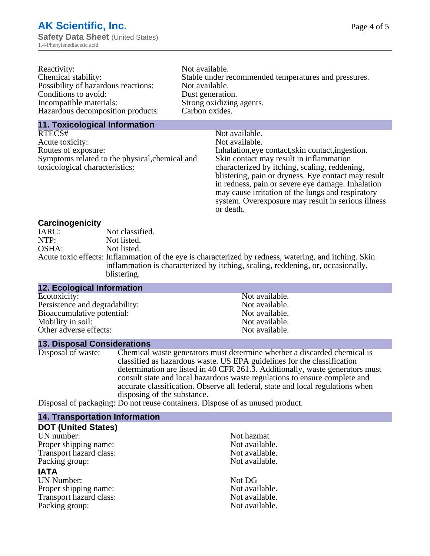| Reactivity:                         | Not available.                                       |
|-------------------------------------|------------------------------------------------------|
| Chemical stability:                 | Stable under recommended temperatures and pressures. |
| Possibility of hazardous reactions: | Not available.                                       |
| Conditions to avoid:                | Dust generation.                                     |
| Incompatible materials:             | Strong oxidizing agents.                             |
| Hazardous decomposition products:   | Carbon oxides.                                       |
|                                     |                                                      |

### **11. Toxicological Information**

| Not available.                                      |
|-----------------------------------------------------|
| Not available.                                      |
| Inhalation, eye contact, skin contact, ingestion.   |
| Skin contact may result in inflammation             |
| characterized by itching, scaling, reddening,       |
| blistering, pain or dryness. Eye contact may result |
| in redness, pain or severe eye damage. Inhalation   |
| may cause irritation of the lungs and respiratory   |
| system. Overexposure may result in serious illness  |
|                                                     |

or death.

## **Carcinogenicity**

| IARC: | Not classified.                                                                                       |
|-------|-------------------------------------------------------------------------------------------------------|
| NTP:  | Not listed.                                                                                           |
| OSHA: | Not listed.                                                                                           |
|       | Acute toxic effects: Inflammation of the eye is characterized by redness, watering, and itching. Skin |
|       | inflammation is characterized by itching, scaling, reddening, or, occasionally,                       |
|       | blistering.                                                                                           |

| <b>12. Ecological Information</b> |                |  |
|-----------------------------------|----------------|--|
| Ecotoxicity:                      | Not available. |  |
| Persistence and degradability:    | Not available. |  |
| Bioaccumulative potential:        | Not available. |  |
| Mobility in soil:                 | Not available. |  |
| Other adverse effects:            | Not available. |  |

### **13. Disposal Considerations**

Disposal of waste: Chemical waste generators must determine whether a discarded chemical is classified as hazardous waste. US EPA guidelines for the classification determination are listed in 40 CFR 261.3. Additionally, waste generators must consult state and local hazardous waste regulations to ensure complete and accurate classification. Observe all federal, state and local regulations when disposing of the substance.

Disposal of packaging: Do not reuse containers. Dispose of as unused product.

| <b>14. Transportation Information</b> |                |
|---------------------------------------|----------------|
| <b>DOT (United States)</b>            |                |
| UN number:                            | Not hazmat     |
| Proper shipping name:                 | Not available. |
| Transport hazard class:               | Not available. |
| Packing group:                        | Not available. |
| <b>IATA</b>                           |                |
| <b>UN Number:</b>                     | Not DG         |
| Proper shipping name:                 | Not available. |
| Transport hazard class:               | Not available. |
| Packing group:                        | Not available. |